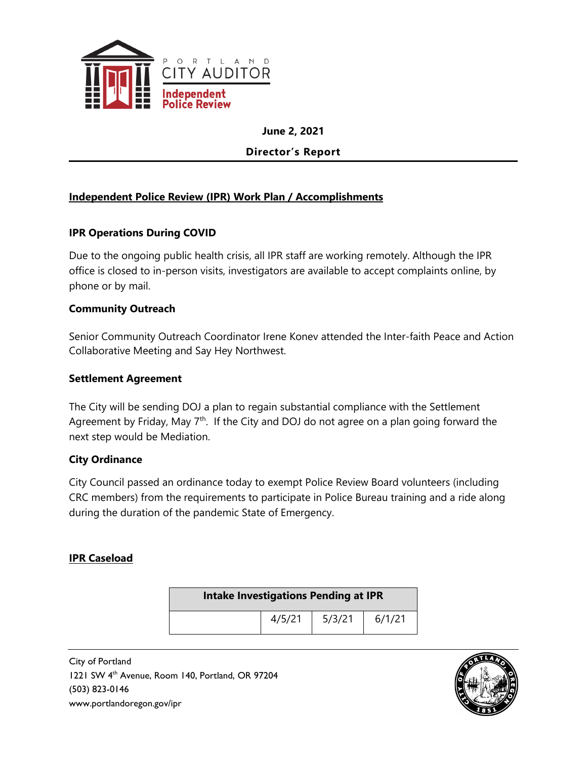

**June 2, 2021**

**Director's Report**

#### **Independent Police Review (IPR) Work Plan / Accomplishments**

#### **IPR Operations During COVID**

Due to the ongoing public health crisis, all IPR staff are working remotely. Although the IPR office is closed to in-person visits, investigators are available to accept complaints online, by phone or by mail.

#### **Community Outreach**

Senior Community Outreach Coordinator Irene Konev attended the Inter-faith Peace and Action Collaborative Meeting and Say Hey Northwest.

#### **Settlement Agreement**

The City will be sending DOJ a plan to regain substantial compliance with the Settlement Agreement by Friday, May  $7<sup>th</sup>$ . If the City and DOJ do not agree on a plan going forward the next step would be Mediation.

#### **City Ordinance**

City Council passed an ordinance today to exempt Police Review Board volunteers (including CRC members) from the requirements to participate in Police Bureau training and a ride along during the duration of the pandemic State of Emergency.

#### **IPR Caseload**

| <b>Intake Investigations Pending at IPR</b> |        |        |        |
|---------------------------------------------|--------|--------|--------|
|                                             | 4/5/21 | 5/3/21 | 6/1/21 |

City of Portland 1221 SW 4th Avenue, Room 140, Portland, OR 97204 (503) 823-0146 www.portlandoregon.gov/ipr

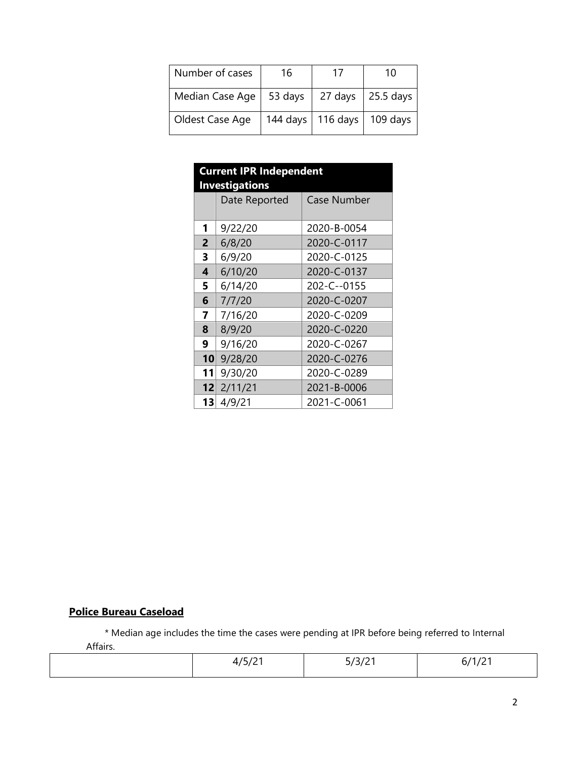| Number of cases | 16       | 17       | 10          |
|-----------------|----------|----------|-------------|
| Median Case Age | 53 days  | 27 days  | $25.5$ days |
| Oldest Case Age | 144 days | 116 days | 109 days    |

| <b>Current IPR Independent</b><br><b>Investigations</b> |               |                    |  |  |
|---------------------------------------------------------|---------------|--------------------|--|--|
|                                                         | Date Reported | <b>Case Number</b> |  |  |
| 1                                                       | 9/22/20       | 2020-B-0054        |  |  |
| $\overline{2}$                                          | 6/8/20        | 2020-C-0117        |  |  |
| 3                                                       | 6/9/20        | 2020-C-0125        |  |  |
| 4                                                       | 6/10/20       | 2020-C-0137        |  |  |
| 5                                                       | 6/14/20       | 202-C--0155        |  |  |
| 6                                                       | 7/7/20        | 2020-C-0207        |  |  |
| 7                                                       | 7/16/20       | 2020-C-0209        |  |  |
| 8                                                       | 8/9/20        | 2020-C-0220        |  |  |
| 9                                                       | 9/16/20       | 2020-C-0267        |  |  |
| 10 <sup>1</sup>                                         | 9/28/20       | 2020-C-0276        |  |  |
| 11                                                      | 9/30/20       | 2020-C-0289        |  |  |
| 12                                                      | 2/11/21       | 2021-B-0006        |  |  |
| 13                                                      | 4/9/21        | 2021-C-0061        |  |  |

#### **Police Bureau Caseload**

\* Median age includes the time the cases were pending at IPR before being referred to Internal

Affairs.

| $\sim$<br>$\overline{\phantom{0}}$<br>$\sim$ $\sim$ | $\sim$<br><br>$\rightarrow$ $\rightarrow$ $\rightarrow$<br>- | <br>$\cdot$ , $\cdot$ . |
|-----------------------------------------------------|--------------------------------------------------------------|-------------------------|
|                                                     |                                                              |                         |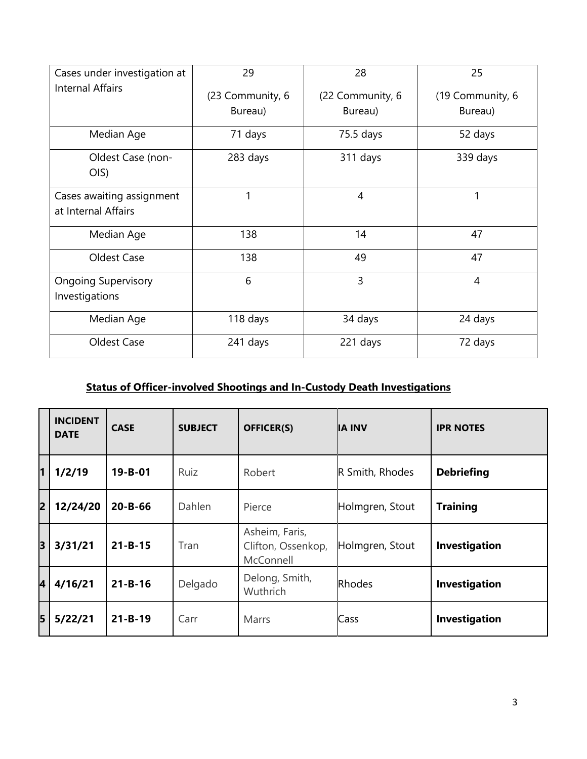| Cases under investigation at                     | 29               | 28               | 25               |  |
|--------------------------------------------------|------------------|------------------|------------------|--|
| <b>Internal Affairs</b>                          | (23 Community, 6 | (22 Community, 6 | (19 Community, 6 |  |
|                                                  | Bureau)          | Bureau)          | Bureau)          |  |
| Median Age                                       | 71 days          | 75.5 days        | 52 days          |  |
| Oldest Case (non-<br>O(S)                        | 283 days         | 311 days         | 339 days         |  |
| Cases awaiting assignment<br>at Internal Affairs | 1                | 4                | 1                |  |
| Median Age                                       | 138              | 14               | 47               |  |
| Oldest Case                                      | 138              | 49               | 47               |  |
| <b>Ongoing Supervisory</b><br>Investigations     | 6                | $\overline{3}$   | $\overline{4}$   |  |
| Median Age                                       | 118 days         | 34 days          | 24 days          |  |
| Oldest Case                                      | 241 days         | 221 days         | 72 days          |  |

## **Status of Officer-involved Shootings and In-Custody Death Investigations**

|    | <b>INCIDENT</b><br><b>DATE</b> | <b>CASE</b>   | <b>SUBJECT</b> | <b>OFFICER(S)</b>                                 | <b>IA INV</b>   | <b>IPR NOTES</b>  |
|----|--------------------------------|---------------|----------------|---------------------------------------------------|-----------------|-------------------|
| 11 | 1/2/19                         | $19 - B - 01$ | Ruiz           | Robert                                            | R Smith, Rhodes | <b>Debriefing</b> |
| 2  | 12/24/20                       | $20 - B - 66$ | Dahlen         | Pierce                                            | Holmgren, Stout | <b>Training</b>   |
| 3  | 3/31/21                        | $21 - B - 15$ | Tran           | Asheim, Faris,<br>Clifton, Ossenkop,<br>McConnell | Holmgren, Stout | Investigation     |
| 4  | 4/16/21                        | $21 - B - 16$ | Delgado        | Delong, Smith,<br>Wuthrich                        | <b>Rhodes</b>   | Investigation     |
| 5  | 5/22/21                        | $21 - B - 19$ | Carr           | <b>Marrs</b>                                      | Cass            | Investigation     |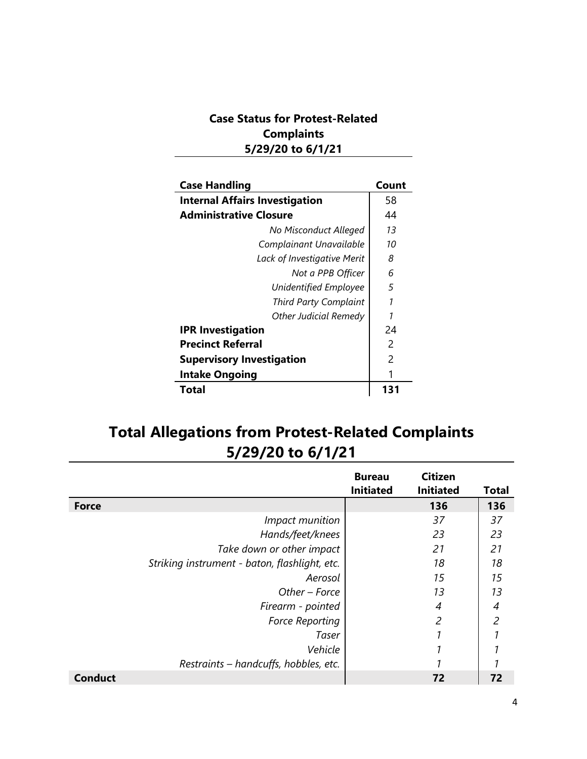### **Case Status for Protest-Related Complaints 5/29/20 to 6/1/21**

| <b>Case Handling</b>                  | Count |
|---------------------------------------|-------|
| <b>Internal Affairs Investigation</b> | 58    |
| <b>Administrative Closure</b>         | 44    |
| No Misconduct Alleged                 | 13    |
| Complainant Unavailable               | 10    |
| Lack of Investigative Merit           | 8     |
| Not a PPB Officer                     | 6     |
| Unidentified Employee                 | 5     |
| <b>Third Party Complaint</b>          | 1     |
| Other Judicial Remedy                 | 1     |
| <b>IPR Investigation</b>              | 24    |
| <b>Precinct Referral</b>              | 2     |
| <b>Supervisory Investigation</b>      | 2     |
| <b>Intake Ongoing</b>                 |       |
| Total                                 | 131   |

# **Total Allegations from Protest-Related Complaints 5/29/20 to 6/1/21**

|                                               | <b>Bureau</b><br><b>Initiated</b> | <b>Citizen</b><br><b>Initiated</b> | <b>Total</b>   |
|-----------------------------------------------|-----------------------------------|------------------------------------|----------------|
| <b>Force</b>                                  |                                   | 136                                | 136            |
| Impact munition                               |                                   | 37                                 | 37             |
| Hands/feet/knees                              |                                   | 23                                 | 23             |
| Take down or other impact                     |                                   | 21                                 | 21             |
| Striking instrument - baton, flashlight, etc. |                                   | 18                                 | 18             |
| Aerosol                                       |                                   | 15                                 | 15             |
| Other - Force                                 |                                   | 13                                 | 13             |
| Firearm - pointed                             |                                   | 4                                  | 4              |
| <b>Force Reporting</b>                        |                                   | $\overline{c}$                     | $\overline{c}$ |
| Taser                                         |                                   |                                    |                |
| Vehicle                                       |                                   |                                    |                |
| Restraints - handcuffs, hobbles, etc.         |                                   |                                    |                |
| <b>Conduct</b>                                |                                   | 72                                 | 72             |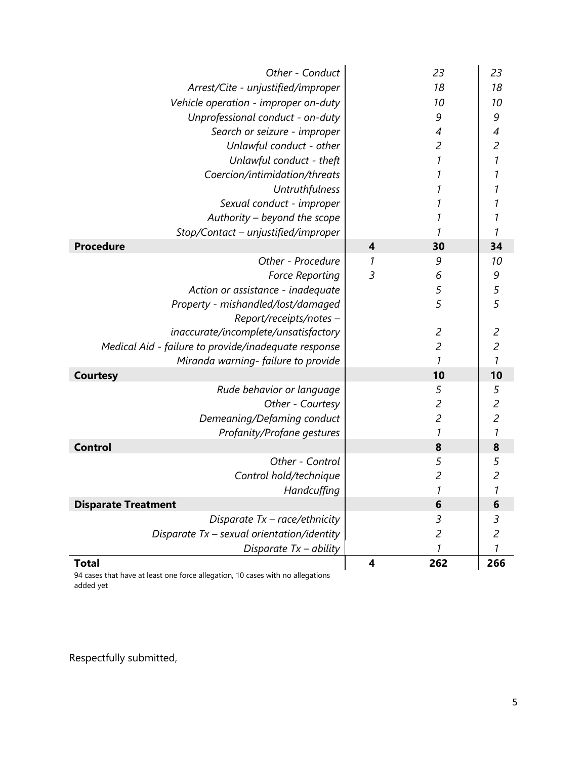| Other - Conduct                                      |                         | 23                  | 23                       |
|------------------------------------------------------|-------------------------|---------------------|--------------------------|
| Arrest/Cite - unjustified/improper                   |                         | 18                  | 18                       |
| Vehicle operation - improper on-duty                 |                         | 10                  | 10                       |
| Unprofessional conduct - on-duty                     |                         | 9                   | 9                        |
| Search or seizure - improper                         |                         | 4                   | $\overline{\mathcal{A}}$ |
| Unlawful conduct - other                             |                         | $\overline{c}$      | $\overline{c}$           |
| Unlawful conduct - theft                             |                         | $\boldsymbol{\eta}$ | $\overline{1}$           |
| Coercion/intimidation/threats                        |                         | $\boldsymbol{\eta}$ | 1                        |
| Untruthfulness                                       |                         | 1                   | 1                        |
| Sexual conduct - improper                            |                         | 1                   | 1                        |
| Authority - beyond the scope                         |                         | 1                   | 1                        |
| Stop/Contact - unjustified/improper                  |                         | 1                   | 1                        |
| <b>Procedure</b>                                     | $\boldsymbol{4}$        | 30                  | 34                       |
| Other - Procedure                                    | 1                       | 9                   | 10                       |
| <b>Force Reporting</b>                               | $\overline{3}$          | 6                   | 9                        |
| Action or assistance - inadequate                    |                         | 5                   | $\frac{5}{5}$            |
| Property - mishandled/lost/damaged                   |                         | 5                   |                          |
| Report/receipts/notes -                              |                         |                     |                          |
| inaccurate/incomplete/unsatisfactory                 |                         | $\overline{c}$      | $\overline{c}$           |
| Medical Aid - failure to provide/inadequate response |                         | $\overline{c}$      | $\overline{c}$           |
| Miranda warning-failure to provide                   |                         | 1                   | 1                        |
| <b>Courtesy</b>                                      |                         | 10                  | 10                       |
| Rude behavior or language                            |                         | 5                   | 5                        |
| Other - Courtesy                                     |                         | $\overline{c}$      | $\overline{c}$           |
| Demeaning/Defaming conduct                           |                         | $\overline{c}$      | $\overline{c}$           |
| Profanity/Profane gestures                           |                         | $\boldsymbol{\eta}$ | $\boldsymbol{\eta}$      |
| <b>Control</b>                                       |                         | 8                   | 8                        |
| Other - Control                                      |                         | 5                   | 5                        |
| Control hold/technique                               |                         | $\overline{c}$      | $\overline{c}$           |
| Handcuffing                                          |                         | 1                   | $\mathcal{I}$            |
| <b>Disparate Treatment</b>                           |                         | 6                   | 6                        |
| Disparate Tx - race/ethnicity                        |                         | 3                   | 3                        |
| Disparate $Tx$ – sexual orientation/identity         |                         | $\mathfrak{p}$      | $\mathfrak{S}$           |
| Disparate $Tx - ability$                             |                         | 1                   | 1                        |
| <b>Total</b>                                         | $\overline{\mathbf{4}}$ | 262                 | 266                      |

94 cases that have at least one force allegation, 10 cases with no allegations added yet

Respectfully submitted,